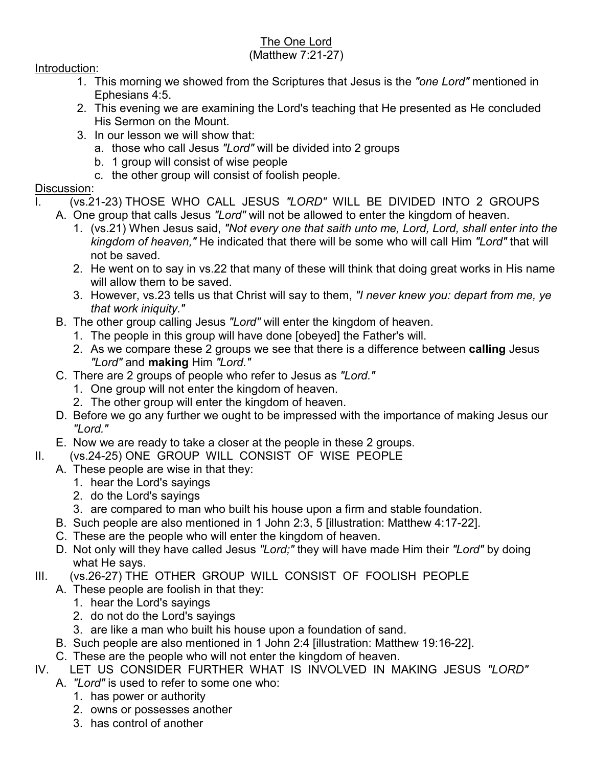## The One Lord

## (Matthew 7:21-27)

## Introduction:

- 1. This morning we showed from the Scriptures that Jesus is the *"one Lord"* mentioned in Ephesians 4:5.
- 2. This evening we are examining the Lord's teaching that He presented as He concluded His Sermon on the Mount.
- 3. In our lesson we will show that:
	- a. those who call Jesus *"Lord"* will be divided into 2 groups
	- b. 1 group will consist of wise people
	- c. the other group will consist of foolish people.

## Discussion:

- (vs.21-23) THOSE WHO CALL JESUS "LORD" WILL BE DIVIDED INTO 2 GROUPS
	- A. One group that calls Jesus *"Lord"* will not be allowed to enter the kingdom of heaven.
		- 1. (vs.21) When Jesus said, *"Not every one that saith unto me, Lord, Lord, shall enter into the kingdom of heaven,"* He indicated that there will be some who will call Him *"Lord"* that will not be saved.
		- 2. He went on to say in vs.22 that many of these will think that doing great works in His name will allow them to be saved.
		- 3. However, vs.23 tells us that Christ will say to them, *"I never knew you: depart from me, ye that work iniquity."*
	- B. The other group calling Jesus *"Lord"* will enter the kingdom of heaven.
		- 1. The people in this group will have done [obeyed] the Father's will.
		- 2. As we compare these 2 groups we see that there is a difference between **calling** Jesus *"Lord"* and **making** Him *"Lord."*
	- C. There are 2 groups of people who refer to Jesus as *"Lord."*
		- 1. One group will not enter the kingdom of heaven.
		- 2. The other group will enter the kingdom of heaven.
	- D. Before we go any further we ought to be impressed with the importance of making Jesus our *"Lord."*
	- E. Now we are ready to take a closer at the people in these 2 groups.
- II. (vs.24-25) ONE GROUP WILL CONSIST OF WISE PEOPLE
	- A. These people are wise in that they:
		- 1. hear the Lord's sayings
		- 2. do the Lord's sayings
		- 3. are compared to man who built his house upon a firm and stable foundation.
	- B. Such people are also mentioned in 1 John 2:3, 5 [illustration: Matthew 4:17-22].
	- C. These are the people who will enter the kingdom of heaven.
	- D. Not only will they have called Jesus *"Lord;"* they will have made Him their *"Lord"* by doing what He says.
- III. (vs.26-27) THE OTHER GROUP WILL CONSIST OF FOOLISH PEOPLE
	- A. These people are foolish in that they:
		- 1. hear the Lord's sayings
		- 2. do not do the Lord's sayings
		- 3. are like a man who built his house upon a foundation of sand.
		- B. Such people are also mentioned in 1 John 2:4 [illustration: Matthew 19:16-22].
	- C. These are the people who will not enter the kingdom of heaven.
- IV. LET US CONSIDER FURTHER WHAT IS INVOLVED IN MAKING JESUS *"LORD"*
	- A. *"Lord"* is used to refer to some one who:
		- 1. has power or authority
		- 2. owns or possesses another
		- 3. has control of another